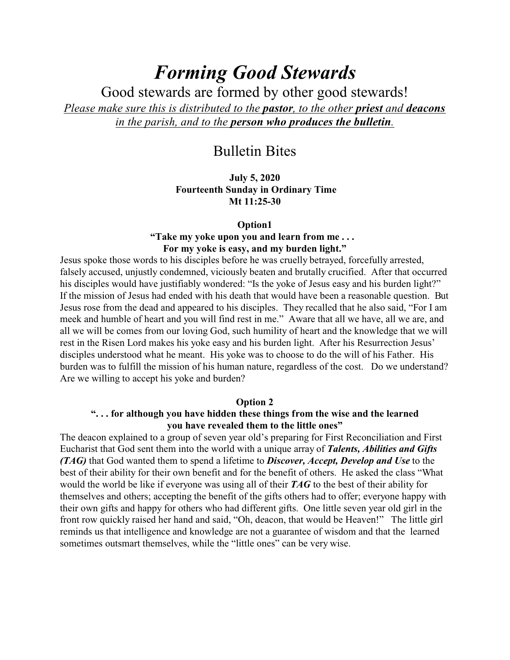# *Forming Good Stewards*

Good stewards are formed by other good stewards! *Please make sure this is distributed to the pastor, to the other priest and deacons in the parish, and to the person who produces the bulletin.*

# Bulletin Bites

**July 5, 2020 Fourteenth Sunday in Ordinary Time Mt 11:25-30**

#### **Option1**

## **"Take my yoke upon you and learn from me . . . For my yoke is easy, and my burden light."**

Jesus spoke those words to his disciples before he was cruelly betrayed, forcefully arrested, falsely accused, unjustly condemned, viciously beaten and brutally crucified. After that occurred his disciples would have justifiably wondered: "Is the yoke of Jesus easy and his burden light?" If the mission of Jesus had ended with his death that would have been a reasonable question. But Jesus rose from the dead and appeared to his disciples. They recalled that he also said, "For I am meek and humble of heart and you will find rest in me." Aware that all we have, all we are, and all we will be comes from our loving God, such humility of heart and the knowledge that we will rest in the Risen Lord makes his yoke easy and his burden light. After his Resurrection Jesus' disciples understood what he meant. His yoke was to choose to do the will of his Father. His burden was to fulfill the mission of his human nature, regardless of the cost. Do we understand? Are we willing to accept his yoke and burden?

#### **Option 2**

# **". . . for although you have hidden these things from the wise and the learned you have revealed them to the little ones"**

The deacon explained to a group of seven year old's preparing for First Reconciliation and First Eucharist that God sent them into the world with a unique array of *Talents, Abilities and Gifts (TAG)* that God wanted them to spend a lifetime to *Discover, Accept, Develop and Use* to the best of their ability for their own benefit and for the benefit of others. He asked the class "What would the world be like if everyone was using all of their *TAG* to the best of their ability for themselves and others; accepting the benefit of the gifts others had to offer; everyone happy with their own gifts and happy for others who had different gifts. One little seven year old girl in the front row quickly raised her hand and said, "Oh, deacon, that would be Heaven!" The little girl reminds us that intelligence and knowledge are not a guarantee of wisdom and that the learned sometimes outsmart themselves, while the "little ones" can be very wise.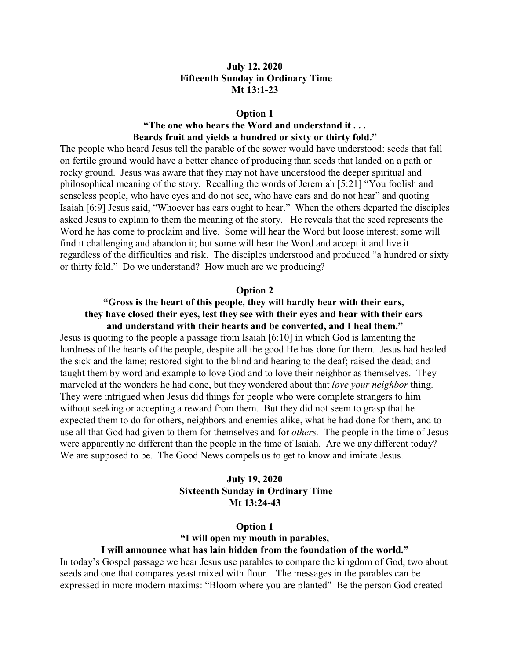# **July 12, 2020 Fifteenth Sunday in Ordinary Time Mt 13:1-23**

#### **Option 1**

# **"The one who hears the Word and understand it . . . Beards fruit and yields a hundred or sixty or thirty fold."**

The people who heard Jesus tell the parable of the sower would have understood: seeds that fall on fertile ground would have a better chance of producing than seeds that landed on a path or rocky ground. Jesus was aware that they may not have understood the deeper spiritual and philosophical meaning of the story. Recalling the words of Jeremiah [5:21] "You foolish and senseless people, who have eyes and do not see, who have ears and do not hear" and quoting Isaiah [6:9] Jesus said, "Whoever has ears ought to hear." When the others departed the disciples asked Jesus to explain to them the meaning of the story. He reveals that the seed represents the Word he has come to proclaim and live. Some will hear the Word but loose interest; some will find it challenging and abandon it; but some will hear the Word and accept it and live it regardless of the difficulties and risk. The disciples understood and produced "a hundred or sixty or thirty fold." Do we understand? How much are we producing?

#### **Option 2**

# **"Gross is the heart of this people, they will hardly hear with their ears, they have closed their eyes, lest they see with their eyes and hear with their ears and understand with their hearts and be converted, and I heal them."**

Jesus is quoting to the people a passage from Isaiah [6:10] in which God is lamenting the hardness of the hearts of the people, despite all the good He has done for them. Jesus had healed the sick and the lame; restored sight to the blind and hearing to the deaf; raised the dead; and taught them by word and example to love God and to love their neighbor as themselves. They marveled at the wonders he had done, but they wondered about that *love your neighbor* thing. They were intrigued when Jesus did things for people who were complete strangers to him without seeking or accepting a reward from them. But they did not seem to grasp that he expected them to do for others, neighbors and enemies alike, what he had done for them, and to use all that God had given to them for themselves and for *others.* The people in the time of Jesus were apparently no different than the people in the time of Isaiah. Are we any different today? We are supposed to be. The Good News compels us to get to know and imitate Jesus.

# **July 19, 2020 Sixteenth Sunday in Ordinary Time Mt 13:24-43**

#### **Option 1**

# **"I will open my mouth in parables, I will announce what has lain hidden from the foundation of the world."**

In today's Gospel passage we hear Jesus use parables to compare the kingdom of God, two about seeds and one that compares yeast mixed with flour. The messages in the parables can be expressed in more modern maxims: "Bloom where you are planted" Be the person God created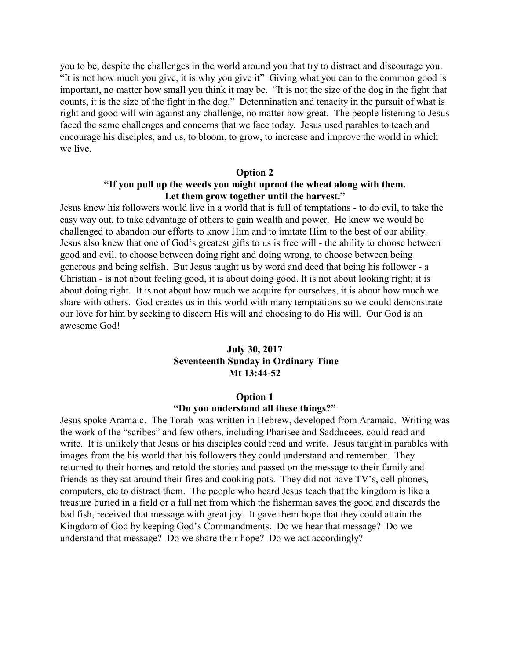you to be, despite the challenges in the world around you that try to distract and discourage you. "It is not how much you give, it is why you give it" Giving what you can to the common good is important, no matter how small you think it may be. "It is not the size of the dog in the fight that counts, it is the size of the fight in the dog." Determination and tenacity in the pursuit of what is right and good will win against any challenge, no matter how great. The people listening to Jesus faced the same challenges and concerns that we face today. Jesus used parables to teach and encourage his disciples, and us, to bloom, to grow, to increase and improve the world in which we live.

#### **Option 2**

# **"If you pull up the weeds you might uproot the wheat along with them. Let them grow together until the harvest."**

Jesus knew his followers would live in a world that is full of temptations - to do evil, to take the easy way out, to take advantage of others to gain wealth and power. He knew we would be challenged to abandon our efforts to know Him and to imitate Him to the best of our ability. Jesus also knew that one of God's greatest gifts to us is free will - the ability to choose between good and evil, to choose between doing right and doing wrong, to choose between being generous and being selfish. But Jesus taught us by word and deed that being his follower - a Christian - is not about feeling good, it is about doing good. It is not about looking right; it is about doing right. It is not about how much we acquire for ourselves, it is about how much we share with others. God creates us in this world with many temptations so we could demonstrate our love for him by seeking to discern His will and choosing to do His will. Our God is an awesome God!

# **July 30, 2017 Seventeenth Sunday in Ordinary Time Mt 13:44-52**

#### **Option 1**

#### **"Do you understand all these things?"**

Jesus spoke Aramaic. The Torah was written in Hebrew, developed from Aramaic. Writing was the work of the "scribes" and few others, including Pharisee and Sadducees, could read and write. It is unlikely that Jesus or his disciples could read and write. Jesus taught in parables with images from the his world that his followers they could understand and remember. They returned to their homes and retold the stories and passed on the message to their family and friends as they sat around their fires and cooking pots. They did not have TV's, cell phones, computers, etc to distract them. The people who heard Jesus teach that the kingdom is like a treasure buried in a field or a full net from which the fisherman saves the good and discards the bad fish, received that message with great joy. It gave them hope that they could attain the Kingdom of God by keeping God's Commandments. Do we hear that message? Do we understand that message? Do we share their hope? Do we act accordingly?